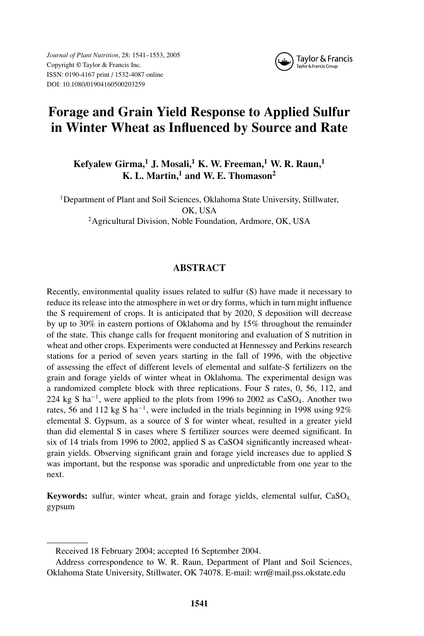*Journal of Plant Nutrition*, 28: 1541–1553, 2005 Copyright © Taylor & Francis Inc. ISSN: 0190-4167 print / 1532-4087 online DOI: 10.1080/01904160500203259



# **Forage and Grain Yield Response to Applied Sulfur in Winter Wheat as Influenced by Source and Rate**

**Kefyalew Girma,<sup>1</sup> J. Mosali,<sup>1</sup> K. W. Freeman,<sup>1</sup> W. R. Raun,<sup>1</sup> K. L. Martin,<sup>1</sup> and W. E. Thomason<sup>2</sup>**

<sup>1</sup>Department of Plant and Soil Sciences, Oklahoma State University, Stillwater, OK, USA <sup>2</sup> Agricultural Division, Noble Foundation, Ardmore, OK, USA

# **ABSTRACT**

Recently, environmental quality issues related to sulfur (S) have made it necessary to reduce its release into the atmosphere in wet or dry forms, which in turn might influence the S requirement of crops. It is anticipated that by 2020, S deposition will decrease by up to 30% in eastern portions of Oklahoma and by 15% throughout the remainder of the state. This change calls for frequent monitoring and evaluation of S nutrition in wheat and other crops. Experiments were conducted at Hennessey and Perkins research stations for a period of seven years starting in the fall of 1996, with the objective of assessing the effect of different levels of elemental and sulfate-S fertilizers on the grain and forage yields of winter wheat in Oklahoma. The experimental design was a randomized complete block with three replications. Four S rates, 0, 56, 112, and 224 kg S ha<sup>-1</sup>, were applied to the plots from 1996 to 2002 as CaSO<sub>4</sub>. Another two rates, 56 and 112 kg S ha<sup>-1</sup>, were included in the trials beginning in 1998 using 92% elemental S. Gypsum, as a source of S for winter wheat, resulted in a greater yield than did elemental S in cases where S fertilizer sources were deemed significant. In six of 14 trials from 1996 to 2002, applied S as CaSO4 significantly increased wheatgrain yields. Observing significant grain and forage yield increases due to applied S was important, but the response was sporadic and unpredictable from one year to the next.

**Keywords:** sulfur, winter wheat, grain and forage yields, elemental sulfur, CaSO4, gypsum

Received 18 February 2004; accepted 16 September 2004.

Address correspondence to W. R. Raun, Department of Plant and Soil Sciences, Oklahoma State University, Stillwater, OK 74078. E-mail: wrr@mail.pss.okstate.edu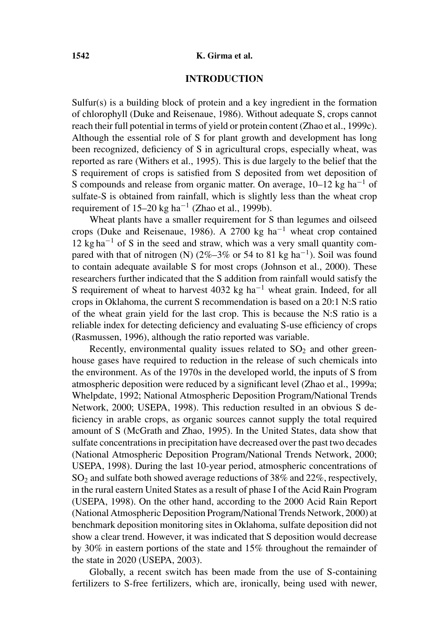### **1542 K. Girma et al.**

# **INTRODUCTION**

Sulfur(s) is a building block of protein and a key ingredient in the formation of chlorophyll (Duke and Reisenaue, 1986). Without adequate S, crops cannot reach their full potential in terms of yield or protein content (Zhao et al., 1999c). Although the essential role of S for plant growth and development has long been recognized, deficiency of S in agricultural crops, especially wheat, was reported as rare (Withers et al., 1995). This is due largely to the belief that the S requirement of crops is satisfied from S deposited from wet deposition of S compounds and release from organic matter. On average,  $10-12$  kg ha<sup>-1</sup> of sulfate-S is obtained from rainfall, which is slightly less than the wheat crop requirement of 15–20 kg ha<sup> $-1$ </sup> (Zhao et al., 1999b).

Wheat plants have a smaller requirement for S than legumes and oilseed crops (Duke and Reisenaue, 1986). A 2700 kg ha<sup>-1</sup> wheat crop contained  $12 \text{ kg ha}^{-1}$  of S in the seed and straw, which was a very small quantity compared with that of nitrogen (N) (2%–3% or 54 to 81 kg ha<sup>-1</sup>). Soil was found to contain adequate available S for most crops (Johnson et al., 2000). These researchers further indicated that the S addition from rainfall would satisfy the S requirement of wheat to harvest 4032 kg ha<sup>-1</sup> wheat grain. Indeed, for all crops in Oklahoma, the current S recommendation is based on a 20:1 N:S ratio of the wheat grain yield for the last crop. This is because the N:S ratio is a reliable index for detecting deficiency and evaluating S-use efficiency of crops (Rasmussen, 1996), although the ratio reported was variable.

Recently, environmental quality issues related to  $SO<sub>2</sub>$  and other greenhouse gases have required to reduction in the release of such chemicals into the environment. As of the 1970s in the developed world, the inputs of S from atmospheric deposition were reduced by a significant level (Zhao et al., 1999a; Whelpdate, 1992; National Atmospheric Deposition Program/National Trends Network, 2000; USEPA, 1998). This reduction resulted in an obvious S deficiency in arable crops, as organic sources cannot supply the total required amount of S (McGrath and Zhao, 1995). In the United States, data show that sulfate concentrations in precipitation have decreased over the past two decades (National Atmospheric Deposition Program/National Trends Network, 2000; USEPA, 1998). During the last 10-year period, atmospheric concentrations of  $SO<sub>2</sub>$  and sulfate both showed average reductions of 38% and 22%, respectively, in the rural eastern United States as a result of phase I of the Acid Rain Program (USEPA, 1998). On the other hand, according to the 2000 Acid Rain Report (National Atmospheric Deposition Program/National Trends Network, 2000) at benchmark deposition monitoring sites in Oklahoma, sulfate deposition did not show a clear trend. However, it was indicated that S deposition would decrease by 30% in eastern portions of the state and 15% throughout the remainder of the state in 2020 (USEPA, 2003).

Globally, a recent switch has been made from the use of S-containing fertilizers to S-free fertilizers, which are, ironically, being used with newer,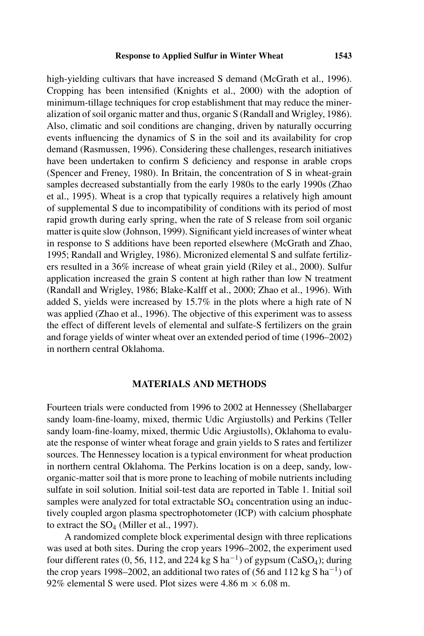high-yielding cultivars that have increased S demand (McGrath et al., 1996). Cropping has been intensified (Knights et al., 2000) with the adoption of minimum-tillage techniques for crop establishment that may reduce the mineralization of soil organic matter and thus, organic S (Randall and Wrigley, 1986). Also, climatic and soil conditions are changing, driven by naturally occurring events influencing the dynamics of S in the soil and its availability for crop demand (Rasmussen, 1996). Considering these challenges, research initiatives have been undertaken to confirm S deficiency and response in arable crops (Spencer and Freney, 1980). In Britain, the concentration of S in wheat-grain samples decreased substantially from the early 1980s to the early 1990s (Zhao et al., 1995). Wheat is a crop that typically requires a relatively high amount of supplemental S due to incompatibility of conditions with its period of most rapid growth during early spring, when the rate of S release from soil organic matter is quite slow (Johnson, 1999). Significant yield increases of winter wheat in response to S additions have been reported elsewhere (McGrath and Zhao, 1995; Randall and Wrigley, 1986). Micronized elemental S and sulfate fertilizers resulted in a 36% increase of wheat grain yield (Riley et al., 2000). Sulfur application increased the grain S content at high rather than low N treatment (Randall and Wrigley, 1986; Blake-Kalff et al., 2000; Zhao et al., 1996). With added S, yields were increased by 15.7% in the plots where a high rate of N was applied (Zhao et al., 1996). The objective of this experiment was to assess the effect of different levels of elemental and sulfate-S fertilizers on the grain and forage yields of winter wheat over an extended period of time (1996–2002) in northern central Oklahoma.

## **MATERIALS AND METHODS**

Fourteen trials were conducted from 1996 to 2002 at Hennessey (Shellabarger sandy loam-fine-loamy, mixed, thermic Udic Argiustolls) and Perkins (Teller sandy loam-fine-loamy, mixed, thermic Udic Argiustolls), Oklahoma to evaluate the response of winter wheat forage and grain yields to S rates and fertilizer sources. The Hennessey location is a typical environment for wheat production in northern central Oklahoma. The Perkins location is on a deep, sandy, loworganic-matter soil that is more prone to leaching of mobile nutrients including sulfate in soil solution. Initial soil-test data are reported in Table 1. Initial soil samples were analyzed for total extractable  $SO_4$  concentration using an inductively coupled argon plasma spectrophotometer (ICP) with calcium phosphate to extract the  $SO_4$  (Miller et al., 1997).

A randomized complete block experimental design with three replications was used at both sites. During the crop years 1996–2002, the experiment used four different rates (0, 56, 112, and 224 kg S ha<sup>-1</sup>) of gypsum (CaSO<sub>4</sub>); during the crop years 1998–2002, an additional two rates of (56 and 112 kg S ha<sup>-1</sup>) of 92% elemental S were used. Plot sizes were 4.86 m  $\times$  6.08 m.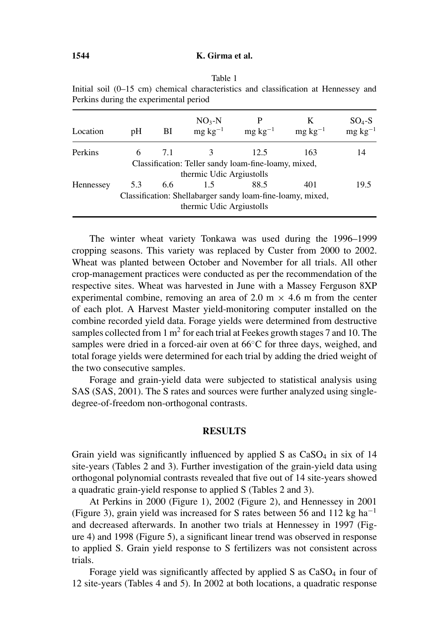| Location  | pΗ  | BI  | $NO3-N$<br>$mg \text{ kg}^{-1}$                                                        | $mg \text{ kg}^{-1}$ | К<br>$mg \, kg^{-1}$ | $SO_4-S$<br>mg kg <sup>-1</sup> |
|-----------|-----|-----|----------------------------------------------------------------------------------------|----------------------|----------------------|---------------------------------|
| Perkins   | 6   | 7.1 |                                                                                        | 12.5                 | 163                  | 14                              |
|           |     |     | Classification: Teller sandy loam-fine-loamy, mixed,                                   |                      |                      |                                 |
|           |     |     | thermic Udic Argiustolls                                                               |                      |                      |                                 |
| Hennessey | 5.3 | 6.6 | 1.5                                                                                    | 88.5                 | 401                  | 19.5                            |
|           |     |     | Classification: Shellabarger sandy loam-fine-loamy, mixed,<br>thermic Udic Argiustolls |                      |                      |                                 |
|           |     |     |                                                                                        |                      |                      |                                 |

Table 1 Initial soil (0–15 cm) chemical characteristics and classification at Hennessey and Perkins during the experimental period

The winter wheat variety Tonkawa was used during the 1996–1999 cropping seasons. This variety was replaced by Custer from 2000 to 2002. Wheat was planted between October and November for all trials. All other crop-management practices were conducted as per the recommendation of the respective sites. Wheat was harvested in June with a Massey Ferguson 8XP experimental combine, removing an area of 2.0 m  $\times$  4.6 m from the center of each plot. A Harvest Master yield-monitoring computer installed on the combine recorded yield data. Forage yields were determined from destructive samples collected from 1 m<sup>2</sup> for each trial at Feekes growth stages 7 and 10. The samples were dried in a forced-air oven at 66<sup>°</sup>C for three days, weighed, and total forage yields were determined for each trial by adding the dried weight of the two consecutive samples.

Forage and grain-yield data were subjected to statistical analysis using SAS (SAS, 2001). The S rates and sources were further analyzed using singledegree-of-freedom non-orthogonal contrasts.

#### **RESULTS**

Grain yield was significantly influenced by applied S as  $CaSO<sub>4</sub>$  in six of 14 site-years (Tables 2 and 3). Further investigation of the grain-yield data using orthogonal polynomial contrasts revealed that five out of 14 site-years showed a quadratic grain-yield response to applied S (Tables 2 and 3).

At Perkins in 2000 (Figure 1), 2002 (Figure 2), and Hennessey in 2001 (Figure 3), grain yield was increased for S rates between 56 and 112 kg ha<sup>-1</sup> and decreased afterwards. In another two trials at Hennessey in 1997 (Figure 4) and 1998 (Figure 5), a significant linear trend was observed in response to applied S. Grain yield response to S fertilizers was not consistent across trials.

Forage yield was significantly affected by applied  $S$  as  $CaSO<sub>4</sub>$  in four of 12 site-years (Tables 4 and 5). In 2002 at both locations, a quadratic response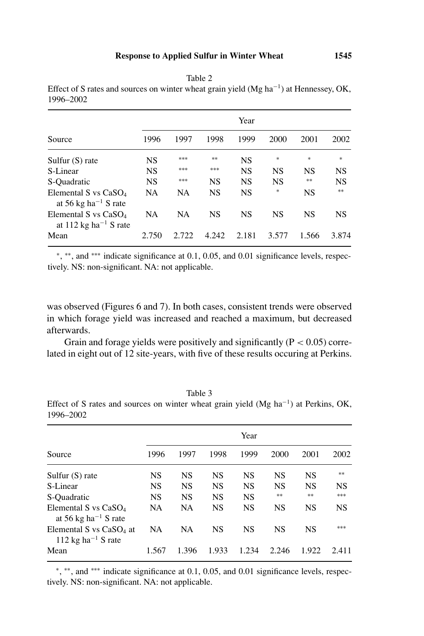|                                                                                    | Year      |           |           |           |           |           |           |  |
|------------------------------------------------------------------------------------|-----------|-----------|-----------|-----------|-----------|-----------|-----------|--|
| Source                                                                             | 1996      | 1997      | 1998      | 1999      | 2000      | 2001      | 2002      |  |
| Sulfur $(S)$ rate                                                                  | <b>NS</b> | ***       | **        | <b>NS</b> | $*$       | $\ast$    | *         |  |
| S-Linear                                                                           | <b>NS</b> | ***       | ***       | <b>NS</b> | NS        | <b>NS</b> | <b>NS</b> |  |
| S-Quadratic                                                                        | <b>NS</b> | ***       | <b>NS</b> | <b>NS</b> | <b>NS</b> | **        | <b>NS</b> |  |
| Elemental S vs $CaSO4$<br>at 56 kg ha <sup><math>-1</math></sup> S rate            | <b>NA</b> | NA        | <b>NS</b> | <b>NS</b> | $\ast$    | <b>NS</b> | $**$      |  |
| Elemental S vs CaSO <sub>4</sub><br>at 112 kg ha <sup><math>-1</math></sup> S rate | <b>NA</b> | <b>NA</b> | <b>NS</b> | <b>NS</b> | NS        | NS        | <b>NS</b> |  |
| Mean                                                                               | 2.750     | 2.722     | 4.242     | 2.181     | 3.577     | 1.566     | 3.874     |  |

Table 2 Effect of S rates and sources on winter wheat grain yield (Mg ha−1) at Hennessey, OK, 1996–2002

<sup>∗</sup>, ∗∗, and ∗∗∗ indicate significance at 0.1, 0.05, and 0.01 significance levels, respectively. NS: non-significant. NA: not applicable.

was observed (Figures 6 and 7). In both cases, consistent trends were observed in which forage yield was increased and reached a maximum, but decreased afterwards.

Grain and forage yields were positively and significantly ( $P < 0.05$ ) correlated in eight out of 12 site-years, with five of these results occuring at Perkins.

Table 3

Effect of S rates and sources on winter wheat grain yield (Mg ha−1) at Perkins, OK, 1996–2002

|                                                                                   | Year      |           |           |           |           |           |           |  |
|-----------------------------------------------------------------------------------|-----------|-----------|-----------|-----------|-----------|-----------|-----------|--|
| Source                                                                            | 1996      | 1997      | 1998      | 1999      | 2000      | 2001      | 2002      |  |
| Sulfur $(S)$ rate                                                                 | NS        | NS        | <b>NS</b> | NS        | <b>NS</b> | <b>NS</b> | **        |  |
| S-Linear                                                                          | NS        | <b>NS</b> | <b>NS</b> | <b>NS</b> | <b>NS</b> | <b>NS</b> | <b>NS</b> |  |
| S-Quadratic                                                                       | <b>NS</b> | <b>NS</b> | <b>NS</b> | <b>NS</b> | $**$      | $**$      | ***       |  |
| Elemental S vs CaSO <sub>4</sub><br>at 56 kg ha <sup><math>-1</math></sup> S rate | <b>NA</b> | <b>NA</b> | <b>NS</b> | <b>NS</b> | <b>NS</b> | NS        | <b>NS</b> |  |
| Elemental S vs $CaSO4$ at<br>112 kg ha <sup><math>-1</math></sup> S rate          | <b>NA</b> | <b>NA</b> | <b>NS</b> | <b>NS</b> | <b>NS</b> | <b>NS</b> | ***       |  |
| Mean                                                                              | 1.567     | 1.396     | 1.933     | 1.234     | 2.246     | 1.922     | 2.411     |  |

<sup>∗</sup>, ∗∗, and ∗∗∗ indicate significance at 0.1, 0.05, and 0.01 significance levels, respectively. NS: non-significant. NA: not applicable.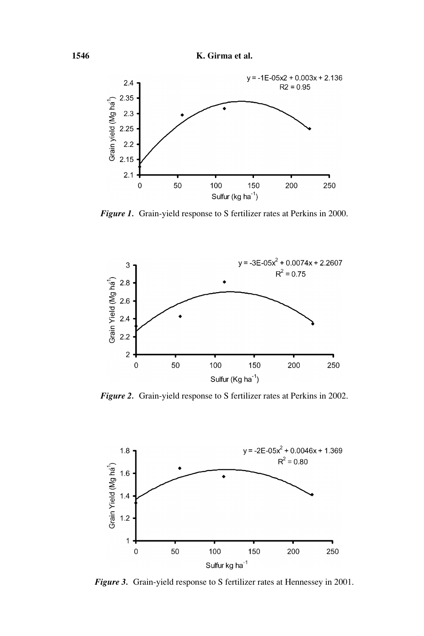**1546 K. Girma et al.**



*Figure 1.* Grain-yield response to S fertilizer rates at Perkins in 2000.



*Figure 2.* Grain-yield response to S fertilizer rates at Perkins in 2002.



*Figure 3.* Grain-yield response to S fertilizer rates at Hennessey in 2001.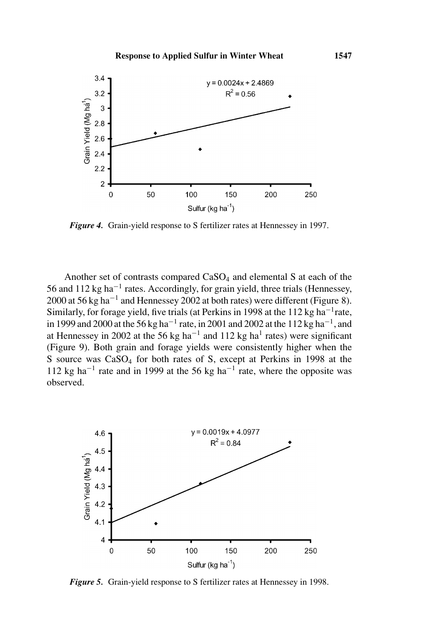

*Figure 4.* Grain-yield response to S fertilizer rates at Hennessey in 1997.

Another set of contrasts compared  $CaSO<sub>4</sub>$  and elemental S at each of the 56 and 112 kg ha−<sup>1</sup> rates. Accordingly, for grain yield, three trials (Hennessey, 2000 at 56 kg ha−<sup>1</sup> and Hennessey 2002 at both rates) were different (Figure 8). Similarly, for forage yield, five trials (at Perkins in 1998 at the 112 kg ha<sup> $-1$ </sup>rate, in 1999 and 2000 at the 56 kg ha<sup>-1</sup> rate, in 2001 and 2002 at the 112 kg ha<sup>-1</sup>, and at Hennessey in 2002 at the 56 kg ha<sup>-1</sup> and 112 kg ha<sup>1</sup> rates) were significant (Figure 9). Both grain and forage yields were consistently higher when the S source was CaSO<sub>4</sub> for both rates of S, except at Perkins in 1998 at the 112 kg ha<sup>-1</sup> rate and in 1999 at the 56 kg ha<sup>-1</sup> rate, where the opposite was observed.



*Figure 5.* Grain-yield response to S fertilizer rates at Hennessey in 1998.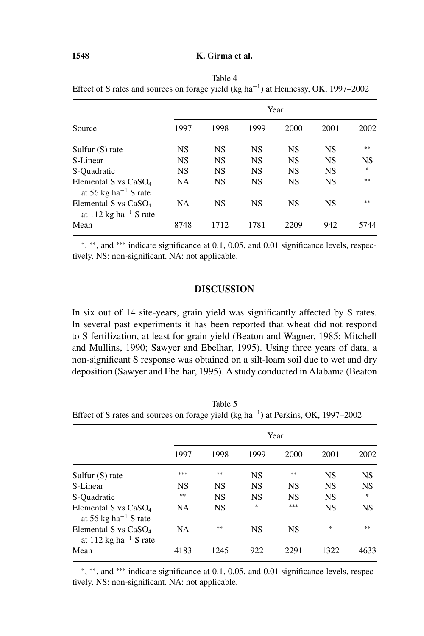## **1548 K. Girma et al.**

|                                                                          | Year      |           |           |           |           |           |  |  |
|--------------------------------------------------------------------------|-----------|-----------|-----------|-----------|-----------|-----------|--|--|
| Source                                                                   | 1997      | 1998      | 1999      | 2000      | 2001      | 2002      |  |  |
| Sulfur $(S)$ rate                                                        | <b>NS</b> | <b>NS</b> | <b>NS</b> | <b>NS</b> | <b>NS</b> | $**$      |  |  |
| S-Linear                                                                 | <b>NS</b> | <b>NS</b> | <b>NS</b> | <b>NS</b> | <b>NS</b> | <b>NS</b> |  |  |
| S-Quadratic                                                              | <b>NS</b> | <b>NS</b> | <b>NS</b> | <b>NS</b> | <b>NS</b> | $*$       |  |  |
| Elemental S vs $CaSO4$<br>at 56 kg ha <sup><math>-1</math></sup> S rate  | <b>NA</b> | <b>NS</b> | <b>NS</b> | <b>NS</b> | <b>NS</b> | **        |  |  |
| Elemental S vs $CaSO4$<br>at 112 kg ha <sup><math>-1</math></sup> S rate | <b>NA</b> | <b>NS</b> | <b>NS</b> | <b>NS</b> | <b>NS</b> | **        |  |  |
| Mean                                                                     | 8748      | 1712      | 1781      | 2209      | 942       | 5744      |  |  |

Table 4 Effect of S rates and sources on forage yield (kg ha−1) at Hennessy, OK, 1997–2002

<sup>∗</sup>, ∗∗, and ∗∗∗ indicate significance at 0.1, 0.05, and 0.01 significance levels, respectively. NS: non-significant. NA: not applicable.

## **DISCUSSION**

In six out of 14 site-years, grain yield was significantly affected by S rates. In several past experiments it has been reported that wheat did not respond to S fertilization, at least for grain yield (Beaton and Wagner, 1985; Mitchell and Mullins, 1990; Sawyer and Ebelhar, 1995). Using three years of data, a non-significant S response was obtained on a silt-loam soil due to wet and dry deposition (Sawyer and Ebelhar, 1995). A study conducted in Alabama (Beaton

Table 5 Effect of S rates and sources on forage yield (kg ha<sup>-1</sup>) at Perkins, OK, 1997–2002

|                                                                                   | Year      |           |           |           |                                   |           |  |  |
|-----------------------------------------------------------------------------------|-----------|-----------|-----------|-----------|-----------------------------------|-----------|--|--|
|                                                                                   | 1997      | 1998      | 1999      | 2000      | 2001                              | 2002      |  |  |
| Sulfur $(S)$ rate                                                                 | ***       | **        | <b>NS</b> | **        | <b>NS</b>                         | <b>NS</b> |  |  |
| S-Linear                                                                          | <b>NS</b> | <b>NS</b> | <b>NS</b> | <b>NS</b> | <b>NS</b>                         | <b>NS</b> |  |  |
| S-Quadratic                                                                       | $**$      | <b>NS</b> | NS        | <b>NS</b> | <b>NS</b>                         | $*$       |  |  |
| Elemental S vs CaSO <sub>4</sub><br>at 56 kg ha <sup><math>-1</math></sup> S rate | NA        | <b>NS</b> | $\ast$    | ***       | <b>NS</b>                         | <b>NS</b> |  |  |
| Elemental S vs $CaSO4$<br>at 112 kg ha <sup>-1</sup> S rate                       | <b>NA</b> | $**$      | <b>NS</b> | <b>NS</b> | $\frac{d\mathbf{r}}{d\mathbf{x}}$ | **        |  |  |
| Mean                                                                              | 4183      | 1245      | 922       | 2291      | 1322                              | 4633      |  |  |

<sup>∗</sup>, ∗∗, and ∗∗∗ indicate significance at 0.1, 0.05, and 0.01 significance levels, respectively. NS: non-significant. NA: not applicable.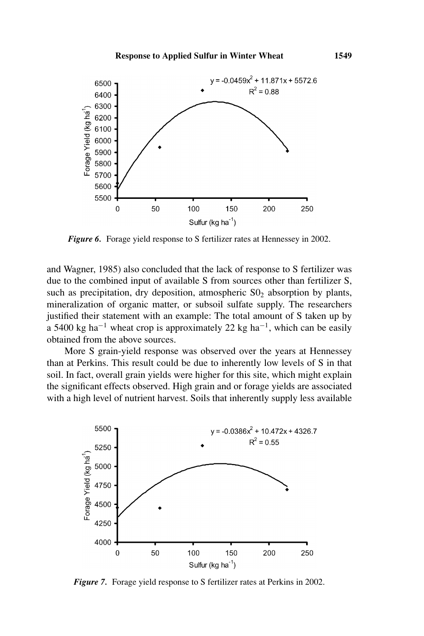

*Figure 6.* Forage yield response to S fertilizer rates at Hennessey in 2002.

and Wagner, 1985) also concluded that the lack of response to S fertilizer was due to the combined input of available S from sources other than fertilizer S, such as precipitation, dry deposition, atmospheric  $S_0$  absorption by plants, mineralization of organic matter, or subsoil sulfate supply. The researchers justified their statement with an example: The total amount of S taken up by a 5400 kg ha<sup>-1</sup> wheat crop is approximately 22 kg ha<sup>-1</sup>, which can be easily obtained from the above sources.

More S grain-yield response was observed over the years at Hennessey than at Perkins. This result could be due to inherently low levels of S in that soil. In fact, overall grain yields were higher for this site, which might explain the significant effects observed. High grain and or forage yields are associated with a high level of nutrient harvest. Soils that inherently supply less available



*Figure 7.* Forage yield response to S fertilizer rates at Perkins in 2002.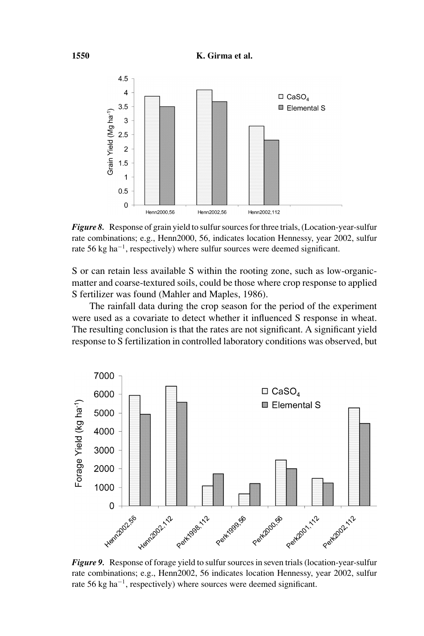

*Figure 8.* Response of grain yield to sulfur sources for three trials, (Location-year-sulfur rate combinations; e.g., Henn2000, 56, indicates location Hennessy, year 2002, sulfur rate 56 kg ha<sup> $-1$ </sup>, respectively) where sulfur sources were deemed significant.

S or can retain less available S within the rooting zone, such as low-organicmatter and coarse-textured soils, could be those where crop response to applied S fertilizer was found (Mahler and Maples, 1986).

The rainfall data during the crop season for the period of the experiment were used as a covariate to detect whether it influenced S response in wheat. The resulting conclusion is that the rates are not significant. A significant yield response to S fertilization in controlled laboratory conditions was observed, but



*Figure 9.* Response of forage yield to sulfur sources in seven trials (location-year-sulfur rate combinations; e.g., Henn2002, 56 indicates location Hennessy, year 2002, sulfur rate 56 kg ha−1, respectively) where sources were deemed significant.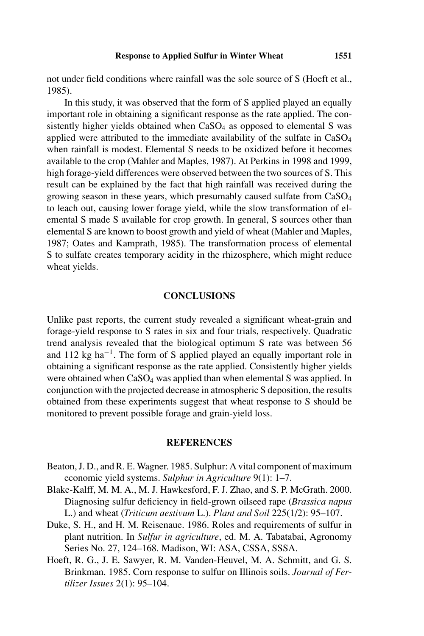not under field conditions where rainfall was the sole source of S (Hoeft et al., 1985).

In this study, it was observed that the form of S applied played an equally important role in obtaining a significant response as the rate applied. The consistently higher yields obtained when  $CaSO<sub>4</sub>$  as opposed to elemental S was applied were attributed to the immediate availability of the sulfate in  $CaSO<sub>4</sub>$ when rainfall is modest. Elemental S needs to be oxidized before it becomes available to the crop (Mahler and Maples, 1987). At Perkins in 1998 and 1999, high forage-yield differences were observed between the two sources of S. This result can be explained by the fact that high rainfall was received during the growing season in these years, which presumably caused sulfate from CaSO4 to leach out, causing lower forage yield, while the slow transformation of elemental S made S available for crop growth. In general, S sources other than elemental S are known to boost growth and yield of wheat (Mahler and Maples, 1987; Oates and Kamprath, 1985). The transformation process of elemental S to sulfate creates temporary acidity in the rhizosphere, which might reduce wheat yields.

#### **CONCLUSIONS**

Unlike past reports, the current study revealed a significant wheat-grain and forage-yield response to S rates in six and four trials, respectively. Quadratic trend analysis revealed that the biological optimum S rate was between 56 and 112 kg ha−1. The form of S applied played an equally important role in obtaining a significant response as the rate applied. Consistently higher yields were obtained when CaSO<sub>4</sub> was applied than when elemental S was applied. In conjunction with the projected decrease in atmospheric S deposition, the results obtained from these experiments suggest that wheat response to S should be monitored to prevent possible forage and grain-yield loss.

## **REFERENCES**

- Beaton, J. D., and R. E. Wagner. 1985. Sulphur: A vital component of maximum economic yield systems. *Sulphur in Agriculture* 9(1): 1–7.
- Blake-Kalff, M. M. A., M. J. Hawkesford, F. J. Zhao, and S. P. McGrath. 2000. Diagnosing sulfur deficiency in field-grown oilseed rape (*Brassica napus* L.) and wheat (*Triticum aestivum* L.). *Plant and Soil* 225(1/2): 95–107.
- Duke, S. H., and H. M. Reisenaue. 1986. Roles and requirements of sulfur in plant nutrition. In *Sulfur in agriculture*, ed. M. A. Tabatabai, Agronomy Series No. 27, 124–168. Madison, WI: ASA, CSSA, SSSA.
- Hoeft, R. G., J. E. Sawyer, R. M. Vanden-Heuvel, M. A. Schmitt, and G. S. Brinkman. 1985. Corn response to sulfur on Illinois soils. *Journal of Fertilizer Issues* 2(1): 95–104.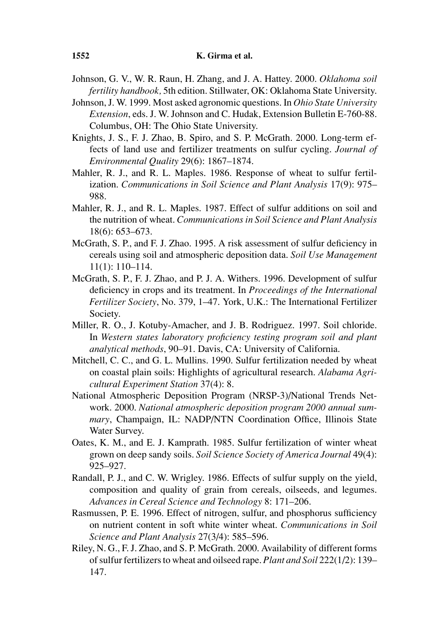- Johnson, G. V., W. R. Raun, H. Zhang, and J. A. Hattey. 2000. *Oklahoma soil fertility handbook,* 5th edition. Stillwater, OK: Oklahoma State University.
- Johnson, J. W. 1999. Most asked agronomic questions. In *Ohio State University Extension*, eds. J. W. Johnson and C. Hudak, Extension Bulletin E-760-88. Columbus, OH: The Ohio State University.
- Knights, J. S., F. J. Zhao, B. Spiro, and S. P. McGrath. 2000. Long-term effects of land use and fertilizer treatments on sulfur cycling. *Journal of Environmental Quality* 29(6): 1867–1874.
- Mahler, R. J., and R. L. Maples. 1986. Response of wheat to sulfur fertilization. *Communications in Soil Science and Plant Analysis* 17(9): 975– 988.
- Mahler, R. J., and R. L. Maples. 1987. Effect of sulfur additions on soil and the nutrition of wheat. *Communications in Soil Science and Plant Analysis* 18(6): 653–673.
- McGrath, S. P., and F. J. Zhao. 1995. A risk assessment of sulfur deficiency in cereals using soil and atmospheric deposition data. *Soil Use Management* 11(1): 110–114.
- McGrath, S. P., F. J. Zhao, and P. J. A. Withers. 1996. Development of sulfur deficiency in crops and its treatment. In *Proceedings of the International Fertilizer Society*, No. 379, 1–47. York, U.K.: The International Fertilizer Society.
- Miller, R. O., J. Kotuby-Amacher, and J. B. Rodriguez. 1997. Soil chloride. In *Western states laboratory proficiency testing program soil and plant analytical methods*, 90–91. Davis, CA: University of California.
- Mitchell, C. C., and G. L. Mullins. 1990. Sulfur fertilization needed by wheat on coastal plain soils: Highlights of agricultural research. *Alabama Agricultural Experiment Station* 37(4): 8.
- National Atmospheric Deposition Program (NRSP-3)/National Trends Network. 2000. *National atmospheric deposition program 2000 annual summary*, Champaign, IL: NADP/NTN Coordination Office, Illinois State Water Survey.
- Oates, K. M., and E. J. Kamprath. 1985. Sulfur fertilization of winter wheat grown on deep sandy soils. *Soil Science Society of America Journal* 49(4): 925–927.
- Randall, P. J., and C. W. Wrigley. 1986. Effects of sulfur supply on the yield, composition and quality of grain from cereals, oilseeds, and legumes. *Advances in Cereal Science and Technology* 8: 171–206.
- Rasmussen, P. E. 1996. Effect of nitrogen, sulfur, and phosphorus sufficiency on nutrient content in soft white winter wheat. *Communications in Soil Science and Plant Analysis* 27(3/4): 585–596.
- Riley, N. G., F. J. Zhao, and S. P. McGrath. 2000. Availability of different forms of sulfur fertilizers to wheat and oilseed rape. *Plant and Soil* 222(1/2): 139– 147.